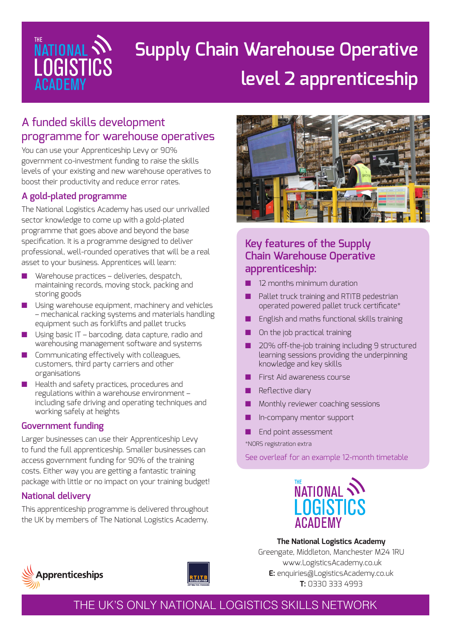

# **Supply Chain Warehouse Operative level 2 apprenticeship**

# A funded skills development programme for warehouse operatives

You can use your Apprenticeship Levy or 90% government co-investment funding to raise the skills levels of your existing and new warehouse operatives to boost their productivity and reduce error rates.

### **A gold-plated programme**

The National Logistics Academy has used our unrivalled sector knowledge to come up with a gold-plated programme that goes above and beyond the base specification. It is a programme designed to deliver professional, well-rounded operatives that will be a real asset to your business. Apprentices will learn:

- Warehouse practices deliveries, despatch, maintaining records, moving stock, packing and storing goods
- Using warehouse equipment, machinery and vehicles – mechanical racking systems and materials handling equipment such as forklifts and pallet trucks
- Using basic IT barcoding, data capture, radio and warehousing management software and systems
- Communicating effectively with colleagues, customers, third party carriers and other organisations
- Health and safety practices, procedures and regulations within a warehouse environment – including safe driving and operating techniques and working safely at heights

### **Government funding**

Larger businesses can use their Apprenticeship Levy to fund the full apprenticeship. Smaller businesses can access government funding for 90% of the training costs. Either way you are getting a fantastic training package with little or no impact on your training budget!

## **National delivery**

This apprenticeship programme is delivered throughout the UK by members of The National Logistics Academy.



## **Key features of the Supply Chain Warehouse Operative apprenticeship:**

- 12 months minimum duration
- Pallet truck training and RTITB pedestrian operated powered pallet truck certificate\*
- English and maths functional skills training
- On the job practical training
- 20% off-the-job training including 9 structured learning sessions providing the underpinning knowledge and key skills
- First Aid awareness course
- Reflective diary
- Monthly reviewer coaching sessions
- In-company mentor support
- End point assessment

\*NORS registration extra

See overleaf for an example 12-month timetable



**The National Logistics Academy** Greengate, Middleton, Manchester M24 1RU www.LogisticsAcademy.co.uk **E:** enquiries@LogisticsAcademy.co.uk **T:** 0330 333 4993





## THE UK'S ONLY NATIONAL LOGISTICS SKILLS NETWORK